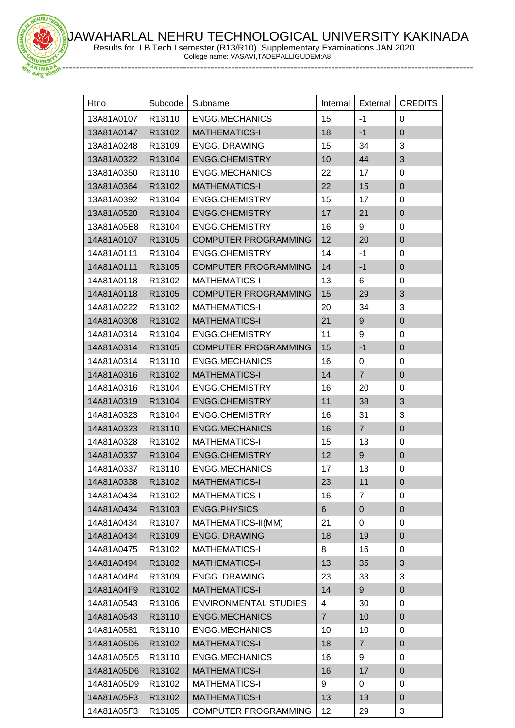JAWAHARLAL NEHRU TECHNOLOGICAL UNIVERSITY KAKINADA



Results for I B.Tech I semester (R13/R10) Supplementary Examinations JAN 2020

College name: VASAVI,TADEPALLIGUDEM:A8

| Htno       | Subcode | Subname                      | Internal       | External       | <b>CREDITS</b>   |
|------------|---------|------------------------------|----------------|----------------|------------------|
| 13A81A0107 | R13110  | <b>ENGG.MECHANICS</b>        | 15             | $-1$           | 0                |
| 13A81A0147 | R13102  | <b>MATHEMATICS-I</b>         | 18             | $-1$           | $\overline{0}$   |
| 13A81A0248 | R13109  | <b>ENGG. DRAWING</b>         | 15             | 34             | 3                |
| 13A81A0322 | R13104  | <b>ENGG.CHEMISTRY</b>        | 10             | 44             | 3                |
| 13A81A0350 | R13110  | <b>ENGG.MECHANICS</b>        | 22             | 17             | $\pmb{0}$        |
| 13A81A0364 | R13102  | <b>MATHEMATICS-I</b>         | 22             | 15             | $\mathbf 0$      |
| 13A81A0392 | R13104  | <b>ENGG.CHEMISTRY</b>        | 15             | 17             | $\mathbf 0$      |
| 13A81A0520 | R13104  | <b>ENGG.CHEMISTRY</b>        | 17             | 21             | $\pmb{0}$        |
| 13A81A05E8 | R13104  | ENGG.CHEMISTRY               | 16             | 9              | $\pmb{0}$        |
| 14A81A0107 | R13105  | <b>COMPUTER PROGRAMMING</b>  | 12             | 20             | $\pmb{0}$        |
| 14A81A0111 | R13104  | <b>ENGG.CHEMISTRY</b>        | 14             | $-1$           | $\mathbf 0$      |
| 14A81A0111 | R13105  | <b>COMPUTER PROGRAMMING</b>  | 14             | $-1$           | $\boldsymbol{0}$ |
| 14A81A0118 | R13102  | <b>MATHEMATICS-I</b>         | 13             | 6              | 0                |
| 14A81A0118 | R13105  | <b>COMPUTER PROGRAMMING</b>  | 15             | 29             | 3                |
| 14A81A0222 | R13102  | <b>MATHEMATICS-I</b>         | 20             | 34             | $\mathbf{3}$     |
| 14A81A0308 | R13102  | <b>MATHEMATICS-I</b>         | 21             | 9              | $\mathbf 0$      |
| 14A81A0314 | R13104  | <b>ENGG.CHEMISTRY</b>        | 11             | 9              | $\mathbf 0$      |
| 14A81A0314 | R13105  | <b>COMPUTER PROGRAMMING</b>  | 15             | $-1$           | $\mathbf 0$      |
| 14A81A0314 | R13110  | <b>ENGG.MECHANICS</b>        | 16             | 0              | $\pmb{0}$        |
| 14A81A0316 | R13102  | <b>MATHEMATICS-I</b>         | 14             | $\overline{7}$ | $\pmb{0}$        |
| 14A81A0316 | R13104  | <b>ENGG.CHEMISTRY</b>        | 16             | 20             | $\pmb{0}$        |
| 14A81A0319 | R13104  | <b>ENGG.CHEMISTRY</b>        | 11             | 38             | 3                |
| 14A81A0323 | R13104  | <b>ENGG.CHEMISTRY</b>        | 16             | 31             | 3                |
| 14A81A0323 | R13110  | <b>ENGG.MECHANICS</b>        | 16             | $\overline{7}$ | $\mathbf 0$      |
| 14A81A0328 | R13102  | <b>MATHEMATICS-I</b>         | 15             | 13             | $\pmb{0}$        |
| 14A81A0337 | R13104  | <b>ENGG.CHEMISTRY</b>        | 12             | 9              | $\boldsymbol{0}$ |
| 14A81A0337 | R13110  | <b>ENGG.MECHANICS</b>        | 17             | 13             | $\mathbf 0$      |
| 14A81A0338 | R13102  | <b>MATHEMATICS-I</b>         | 23             | 11             | 0                |
| 14A81A0434 | R13102  | <b>MATHEMATICS-I</b>         | 16             | $\overline{7}$ | $\pmb{0}$        |
| 14A81A0434 | R13103  | <b>ENGG.PHYSICS</b>          | $6\phantom{1}$ | $\pmb{0}$      | $\boldsymbol{0}$ |
| 14A81A0434 | R13107  | MATHEMATICS-II(MM)           | 21             | 0              | $\pmb{0}$        |
| 14A81A0434 | R13109  | <b>ENGG. DRAWING</b>         | 18             | 19             | $\pmb{0}$        |
| 14A81A0475 | R13102  | <b>MATHEMATICS-I</b>         | 8              | 16             | $\pmb{0}$        |
| 14A81A0494 | R13102  | <b>MATHEMATICS-I</b>         | 13             | 35             | 3                |
| 14A81A04B4 | R13109  | <b>ENGG. DRAWING</b>         | 23             | 33             | 3                |
| 14A81A04F9 | R13102  | <b>MATHEMATICS-I</b>         | 14             | 9              | $\pmb{0}$        |
| 14A81A0543 | R13106  | <b>ENVIRONMENTAL STUDIES</b> | 4              | 30             | $\pmb{0}$        |
| 14A81A0543 | R13110  | <b>ENGG.MECHANICS</b>        | $\overline{7}$ | 10             | $\boldsymbol{0}$ |
| 14A81A0581 | R13110  | ENGG.MECHANICS               | 10             | 10             | $\mathbf 0$      |
| 14A81A05D5 | R13102  | <b>MATHEMATICS-I</b>         | 18             | $\overline{7}$ | $\pmb{0}$        |
| 14A81A05D5 | R13110  | ENGG.MECHANICS               | 16             | 9              | $\pmb{0}$        |
| 14A81A05D6 | R13102  | <b>MATHEMATICS-I</b>         | 16             | 17             | $\pmb{0}$        |
| 14A81A05D9 | R13102  | <b>MATHEMATICS-I</b>         | 9              | 0              | $\mathbf 0$      |
| 14A81A05F3 | R13102  | <b>MATHEMATICS-I</b>         | 13             | 13             | $\pmb{0}$        |
| 14A81A05F3 | R13105  | <b>COMPUTER PROGRAMMING</b>  | 12             | 29             | $\sqrt{3}$       |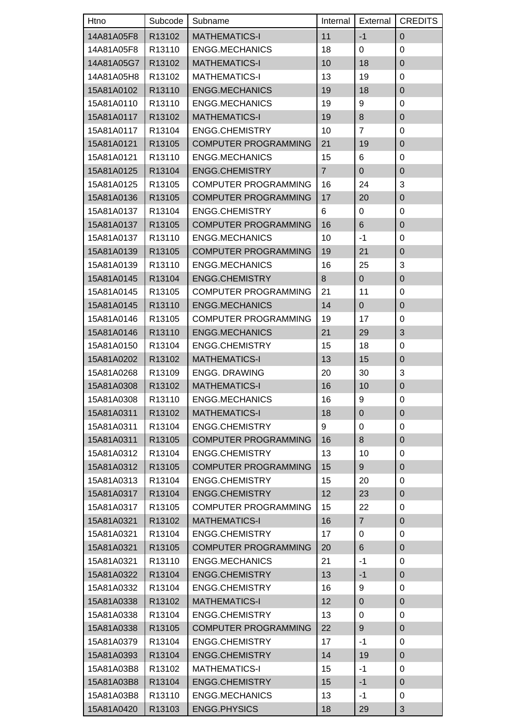| Htno                     | Subcode | Subname                     | Internal       | External              | <b>CREDITS</b>            |
|--------------------------|---------|-----------------------------|----------------|-----------------------|---------------------------|
| 14A81A05F8               | R13102  | <b>MATHEMATICS-I</b>        | 11             | $-1$                  | $\pmb{0}$                 |
| 14A81A05F8               | R13110  | <b>ENGG.MECHANICS</b>       | 18             | 0                     | 0                         |
| 14A81A05G7               | R13102  | <b>MATHEMATICS-I</b>        | 10             | 18                    | $\pmb{0}$                 |
| 14A81A05H8               | R13102  | <b>MATHEMATICS-I</b>        | 13             | 19                    | 0                         |
| 15A81A0102               | R13110  | <b>ENGG.MECHANICS</b>       | 19             | 18                    | $\pmb{0}$                 |
| 15A81A0110               | R13110  | <b>ENGG.MECHANICS</b>       | 19             | 9                     | 0                         |
| 15A81A0117               | R13102  | <b>MATHEMATICS-I</b>        | 19             | 8                     | $\pmb{0}$                 |
| 15A81A0117               | R13104  | <b>ENGG.CHEMISTRY</b>       | 10             | $\overline{7}$        | 0                         |
| 15A81A0121               | R13105  | <b>COMPUTER PROGRAMMING</b> | 21             | 19                    | $\pmb{0}$                 |
| 15A81A0121               | R13110  | <b>ENGG.MECHANICS</b>       | 15             | 6                     | 0                         |
| 15A81A0125               | R13104  | <b>ENGG.CHEMISTRY</b>       | $\overline{7}$ | $\mathbf{0}$          | $\pmb{0}$                 |
| 15A81A0125               | R13105  | <b>COMPUTER PROGRAMMING</b> | 16             | 24                    | 3                         |
| 15A81A0136               | R13105  | <b>COMPUTER PROGRAMMING</b> | 17             | 20                    | $\pmb{0}$                 |
| 15A81A0137               | R13104  | ENGG.CHEMISTRY              | 6              | 0                     | 0                         |
| 15A81A0137               | R13105  | <b>COMPUTER PROGRAMMING</b> | 16             | $\,6$                 | $\pmb{0}$                 |
| 15A81A0137               | R13110  | ENGG.MECHANICS              | 10             | $-1$                  | 0                         |
| 15A81A0139               | R13105  | <b>COMPUTER PROGRAMMING</b> | 19             | 21                    | $\pmb{0}$                 |
| 15A81A0139               | R13110  | <b>ENGG.MECHANICS</b>       | 16             | 25                    | 3                         |
| 15A81A0145               | R13104  | <b>ENGG.CHEMISTRY</b>       | 8              | $\mathbf 0$           | $\pmb{0}$                 |
| 15A81A0145               | R13105  | <b>COMPUTER PROGRAMMING</b> | 21             | 11                    | 0                         |
| 15A81A0145               | R13110  | <b>ENGG.MECHANICS</b>       | 14             | $\pmb{0}$             | $\pmb{0}$                 |
| 15A81A0146               | R13105  | <b>COMPUTER PROGRAMMING</b> | 19             | 17                    | $\pmb{0}$                 |
| 15A81A0146               | R13110  | <b>ENGG.MECHANICS</b>       | 21             | 29                    | 3                         |
| 15A81A0150               | R13104  | <b>ENGG.CHEMISTRY</b>       | 15             | 18                    | 0                         |
| 15A81A0202               | R13102  | <b>MATHEMATICS-I</b>        | 13             | 15                    | $\pmb{0}$                 |
| 15A81A0268               | R13109  | <b>ENGG. DRAWING</b>        | 20             | 30                    | 3                         |
| 15A81A0308               | R13102  | <b>MATHEMATICS-I</b>        | 16             | 10                    | $\pmb{0}$                 |
| 15A81A0308               | R13110  | <b>ENGG.MECHANICS</b>       | 16             | 9                     | 0                         |
| 15A81A0311               | R13102  | <b>MATHEMATICS-I</b>        | 18             | $\mathbf 0$           | $\mathbf{0}$              |
| 15A81A0311               | R13104  | <b>ENGG.CHEMISTRY</b>       | 9              | 0                     | $\pmb{0}$                 |
| 15A81A0311               | R13105  | <b>COMPUTER PROGRAMMING</b> | 16             | 8                     | $\pmb{0}$                 |
| 15A81A0312               | R13104  | ENGG.CHEMISTRY              | 13             | 10                    | 0                         |
| 15A81A0312               | R13105  | <b>COMPUTER PROGRAMMING</b> | 15             | $\boldsymbol{9}$      | $\pmb{0}$                 |
| 15A81A0313               | R13104  | ENGG.CHEMISTRY              | 15             | 20                    | 0                         |
| 15A81A0317               | R13104  | <b>ENGG.CHEMISTRY</b>       | 12             | 23                    | $\pmb{0}$                 |
| 15A81A0317               | R13105  | <b>COMPUTER PROGRAMMING</b> | 15             | 22                    | 0                         |
| 15A81A0321               | R13102  | <b>MATHEMATICS-I</b>        | 16             | $\overline{7}$        | $\pmb{0}$                 |
| 15A81A0321               | R13104  | <b>ENGG.CHEMISTRY</b>       | 17             | 0                     | 0                         |
| 15A81A0321               | R13105  | <b>COMPUTER PROGRAMMING</b> | 20             | $\,6$                 | $\pmb{0}$                 |
| 15A81A0321               | R13110  | <b>ENGG.MECHANICS</b>       | 21             | $-1$                  | 0                         |
| 15A81A0322               | R13104  | <b>ENGG.CHEMISTRY</b>       | 13             | $-1$                  | $\pmb{0}$                 |
| 15A81A0332               | R13104  | <b>ENGG.CHEMISTRY</b>       | 16             | 9                     | 0                         |
| 15A81A0338               | R13102  | <b>MATHEMATICS-I</b>        | 12             | $\mathbf 0$           | $\pmb{0}$                 |
|                          | R13104  | <b>ENGG.CHEMISTRY</b>       |                |                       | 0                         |
| 15A81A0338<br>15A81A0338 | R13105  | <b>COMPUTER PROGRAMMING</b> | 13<br>22       | 0<br>$\boldsymbol{9}$ | $\pmb{0}$                 |
|                          |         |                             |                |                       |                           |
| 15A81A0379               | R13104  | <b>ENGG.CHEMISTRY</b>       | 17             | $-1$                  | 0                         |
| 15A81A0393               | R13104  | <b>ENGG.CHEMISTRY</b>       | 14             | 19                    | $\pmb{0}$                 |
| 15A81A03B8               | R13102  | <b>MATHEMATICS-I</b>        | 15             | $-1$                  | 0                         |
| 15A81A03B8               | R13104  | <b>ENGG.CHEMISTRY</b>       | 15             | $-1$                  | $\pmb{0}$                 |
| 15A81A03B8               | R13110  | <b>ENGG.MECHANICS</b>       | 13             | $-1$                  | 0                         |
| 15A81A0420               | R13103  | <b>ENGG.PHYSICS</b>         | 18             | 29                    | $\ensuremath{\mathsf{3}}$ |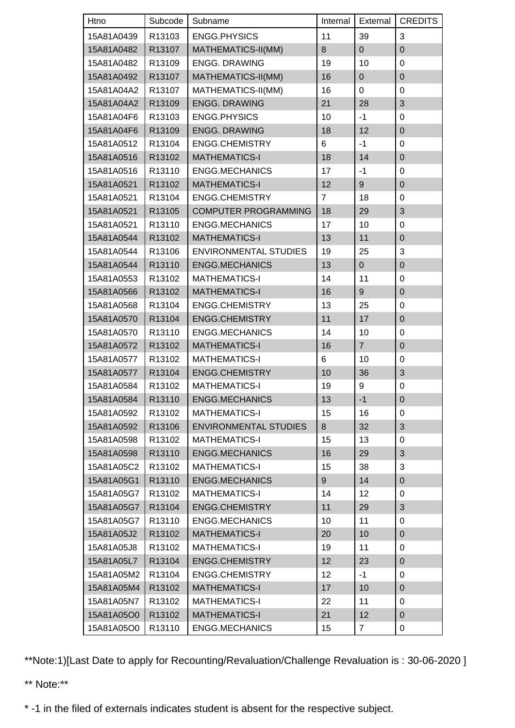| Htno       | Subcode            | Subname                      | Internal       | External         | <b>CREDITS</b>   |
|------------|--------------------|------------------------------|----------------|------------------|------------------|
| 15A81A0439 | R13103             | <b>ENGG.PHYSICS</b>          | 11             | 39               | 3                |
| 15A81A0482 | R13107             | MATHEMATICS-II(MM)           | 8              | $\overline{0}$   | $\mathbf 0$      |
| 15A81A0482 | R13109             | <b>ENGG. DRAWING</b>         | 19             | 10               | $\pmb{0}$        |
| 15A81A0492 | R13107             | MATHEMATICS-II(MM)           | 16             | $\pmb{0}$        | $\mathbf 0$      |
| 15A81A04A2 | R13107             | MATHEMATICS-II(MM)           | 16             | $\mathbf 0$      | $\pmb{0}$        |
| 15A81A04A2 | R13109             | <b>ENGG. DRAWING</b>         | 21             | 28               | $\sqrt{3}$       |
| 15A81A04F6 | R13103             | <b>ENGG.PHYSICS</b>          | 10             | $-1$             | $\pmb{0}$        |
| 15A81A04F6 | R13109             | <b>ENGG. DRAWING</b>         | 18             | 12               | $\pmb{0}$        |
| 15A81A0512 | R13104             | <b>ENGG.CHEMISTRY</b>        | 6              | $-1$             | $\pmb{0}$        |
| 15A81A0516 | R13102             | <b>MATHEMATICS-I</b>         | 18             | 14               | $\pmb{0}$        |
| 15A81A0516 | R13110             | <b>ENGG.MECHANICS</b>        | 17             | $-1$             | 0                |
| 15A81A0521 | R13102             | <b>MATHEMATICS-I</b>         | 12             | $\boldsymbol{9}$ | $\pmb{0}$        |
| 15A81A0521 | R13104             | <b>ENGG.CHEMISTRY</b>        | $\overline{7}$ | 18               | 0                |
| 15A81A0521 | R13105             | <b>COMPUTER PROGRAMMING</b>  | 18             | 29               | 3                |
| 15A81A0521 | R13110             | <b>ENGG.MECHANICS</b>        | 17             | 10               | $\pmb{0}$        |
| 15A81A0544 | R13102             | <b>MATHEMATICS-I</b>         | 13             | 11               | $\pmb{0}$        |
| 15A81A0544 | R13106             | <b>ENVIRONMENTAL STUDIES</b> | 19             | 25               | 3                |
| 15A81A0544 | R13110             | <b>ENGG.MECHANICS</b>        | 13             | $\pmb{0}$        | $\pmb{0}$        |
| 15A81A0553 | R13102             | <b>MATHEMATICS-I</b>         | 14             | 11               | $\pmb{0}$        |
| 15A81A0566 | R13102             | <b>MATHEMATICS-I</b>         | 16             | $\boldsymbol{9}$ | $\pmb{0}$        |
| 15A81A0568 | R13104             | <b>ENGG.CHEMISTRY</b>        | 13             | 25               | $\boldsymbol{0}$ |
| 15A81A0570 | R13104             | <b>ENGG.CHEMISTRY</b>        | 11             | 17               | $\pmb{0}$        |
| 15A81A0570 | R13110             | <b>ENGG.MECHANICS</b>        | 14             | 10               | 0                |
| 15A81A0572 | R13102             | <b>MATHEMATICS-I</b>         | 16             | $\overline{7}$   | $\pmb{0}$        |
| 15A81A0577 | R13102             | <b>MATHEMATICS-I</b>         | 6              | 10               | 0                |
| 15A81A0577 | R13104             | <b>ENGG.CHEMISTRY</b>        | 10             | 36               | 3                |
| 15A81A0584 | R13102             | <b>MATHEMATICS-I</b>         | 19             | $\boldsymbol{9}$ | $\pmb{0}$        |
| 15A81A0584 | R13110             | <b>ENGG.MECHANICS</b>        | 13             | $-1$             | $\mathbf 0$      |
| 15A81A0592 | R <sub>13102</sub> | <b>MATHEMATICS-I</b>         | 15             | 16               | 0                |
| 15A81A0592 | R13106             | <b>ENVIRONMENTAL STUDIES</b> | 8              | 32               | $\sqrt{3}$       |
| 15A81A0598 | R13102             | <b>MATHEMATICS-I</b>         | 15             | 13               | $\pmb{0}$        |
| 15A81A0598 | R13110             | <b>ENGG.MECHANICS</b>        | 16             | 29               | $\sqrt{3}$       |
| 15A81A05C2 | R13102             | <b>MATHEMATICS-I</b>         | 15             | 38               | 3                |
| 15A81A05G1 | R13110             | <b>ENGG.MECHANICS</b>        | 9              | 14               | $\pmb{0}$        |
| 15A81A05G7 | R13102             | <b>MATHEMATICS-I</b>         | 14             | 12               | $\pmb{0}$        |
| 15A81A05G7 | R13104             | <b>ENGG.CHEMISTRY</b>        | 11             | 29               | 3                |
| 15A81A05G7 | R13110             | <b>ENGG.MECHANICS</b>        | 10             | 11               | $\boldsymbol{0}$ |
| 15A81A05J2 | R13102             | <b>MATHEMATICS-I</b>         | 20             | 10               | $\pmb{0}$        |
| 15A81A05J8 | R13102             | <b>MATHEMATICS-I</b>         | 19             | 11               | $\mathbf 0$      |
| 15A81A05L7 | R13104             | <b>ENGG.CHEMISTRY</b>        | 12             | 23               | 0                |
| 15A81A05M2 | R13104             | ENGG.CHEMISTRY               | 12             | $-1$             | $\mathbf 0$      |
| 15A81A05M4 | R13102             | <b>MATHEMATICS-I</b>         | 17             | 10               | $\pmb{0}$        |
| 15A81A05N7 | R13102             | <b>MATHEMATICS-I</b>         | 22             | 11               | 0                |
| 15A81A05O0 | R13102             | <b>MATHEMATICS-I</b>         | 21             | 12               | $\pmb{0}$        |
| 15A81A05O0 | R13110             | <b>ENGG.MECHANICS</b>        | 15             | $\overline{7}$   | 0                |

\*\*Note:1)[Last Date to apply for Recounting/Revaluation/Challenge Revaluation is : 30-06-2020 ]

\*\* Note:\*\*

\* -1 in the filed of externals indicates student is absent for the respective subject.